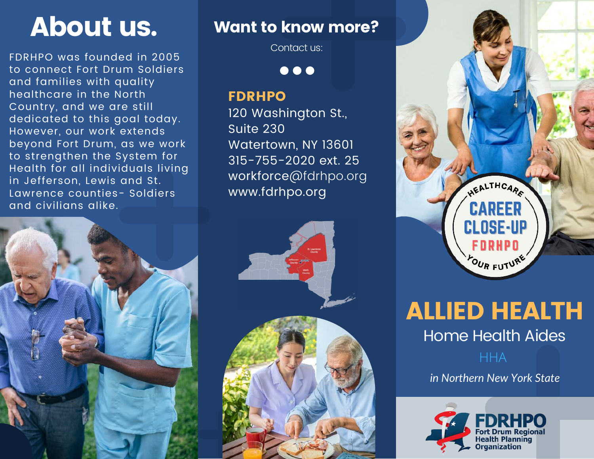FDRHPO was founded in 2005 to connect Fort Drum Soldiers and families with quality healthcare in the North Country, and we are still dedicated to this goal today. However, our work extends beyond Fort Drum, as we work to strengthen the System for Health for all individuals living in Jefferson, Lewis and St. Lawrence counties- Soldiers and civilians alike.



# About us. Want to know more?

Contact us:

 $\bullet\bullet\bullet$ 

## FDRHPO

120 Washington St., Suite 230 Watertown, NY 13601 315-755-2020 ext. 25 workforce@fdrhpo.org www.fdrhpo.org





ALLIED HEALTH Home Health Aides

HHA

*in Northern New York State*